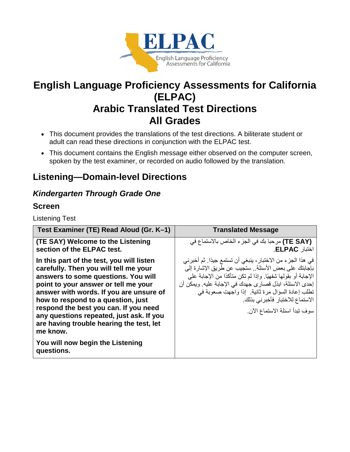

# **English Language Proficiency Assessments for California (ELPAC) Arabic Translated Test Directions All Grades**

- This document provides the translations of the test directions. A biliterate student or adult can read these directions in conjunction with the ELPAC test.
- This document contains the English message either observed on the computer screen, spoken by the test examiner, or recorded on audio followed by the translation.

## **Listening—Domain-level Directions**

### *Kindergarten Through Grade One*

#### **Screen**

Listening Test

| Test Examiner (TE) Read Aloud (Gr. K-1)                                                                                                                                                                                                                                                                                                                                                                                                           | <b>Translated Message</b>                                                                                                                                                                                                                                                                                                                                            |
|---------------------------------------------------------------------------------------------------------------------------------------------------------------------------------------------------------------------------------------------------------------------------------------------------------------------------------------------------------------------------------------------------------------------------------------------------|----------------------------------------------------------------------------------------------------------------------------------------------------------------------------------------------------------------------------------------------------------------------------------------------------------------------------------------------------------------------|
| (TE SAY) Welcome to the Listening<br>section of the ELPAC test.                                                                                                                                                                                                                                                                                                                                                                                   | (TE SAY) مرحبا بك في الجزء الخاص بالاستماع في<br>اختبار ELPAC.                                                                                                                                                                                                                                                                                                       |
| In this part of the test, you will listen<br>carefully. Then you will tell me your<br>answers to some questions. You will<br>point to your answer or tell me your<br>answer with words. If you are unsure of<br>how to respond to a question, just<br>respond the best you can. If you need<br>any questions repeated, just ask. If you<br>are having trouble hearing the test, let<br>me know.<br>You will now begin the Listening<br>questions. | في هذا الجزء من الاختبار ، ينبغي أن تستمع جيدًا. ثم أخبر ني<br>بإجابتك على بعض الأسئلة . ستجيب عن طريق الإشار ة إلى<br>الإجابة أو بقولها شفهيًا. وإذا لم تكن متأكدًا من الإجابة على<br>إحدى الاسئلة، ابذل قصار ي جهدك في الإجابة عليه. ويمكن أن<br>تطلب إعادة السؤال مرة ثانية. إذا واجهت صعوبة في<br>الاستماع للاختبار فأخبرني بذلك<br>سوف تبدأ اسئلة الاستماع الآن |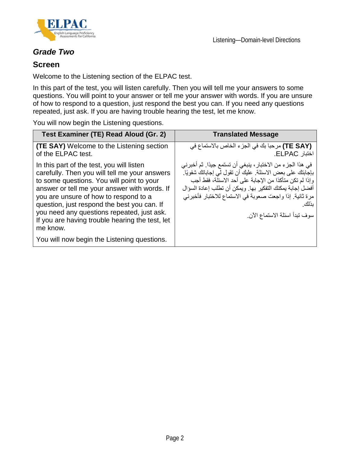



#### *Grade Two*

#### **Screen**

Welcome to the Listening section of the ELPAC test.

In this part of the test, you will listen carefully. Then you will tell me your answers to some questions. You will point to your answer or tell me your answer with words. If you are unsure of how to respond to a question, just respond the best you can. If you need any questions repeated, just ask. If you are having trouble hearing the test, let me know.

You will now begin the Listening questions.

| Test Examiner (TE) Read Aloud (Gr. 2)                                                                                                                                                                                                                                                                                                                                                                                                       | <b>Translated Message</b>                                                                                                                                                                                                                                                                                                                           |
|---------------------------------------------------------------------------------------------------------------------------------------------------------------------------------------------------------------------------------------------------------------------------------------------------------------------------------------------------------------------------------------------------------------------------------------------|-----------------------------------------------------------------------------------------------------------------------------------------------------------------------------------------------------------------------------------------------------------------------------------------------------------------------------------------------------|
| <b>(TE SAY)</b> Welcome to the Listening section<br>of the ELPAC test.                                                                                                                                                                                                                                                                                                                                                                      | (TE SAY) مرحبا بك في الجزء الخاص بالاستماع في<br>اختبار ELPAC.                                                                                                                                                                                                                                                                                      |
| In this part of the test, you will listen<br>carefully. Then you will tell me your answers<br>to some questions. You will point to your<br>answer or tell me your answer with words. If<br>you are unsure of how to respond to a<br>question, just respond the best you can. If<br>you need any questions repeated, just ask.<br>If you are having trouble hearing the test, let<br>me know.<br>You will now begin the Listening questions. | في هذا الجزء من الاختبار ، ينبغي أن تستمع جيدًا. ثم أخبر ني<br>باجَّابتك على بعض الاسئلة. عليك أن تقول لي إجاباتك شفويًا.<br>وإذا لم تكن متأكدًا من الإجابة على أحد الاسئلة، فقط أجب<br>أفضل إجابة يمكنك التفكير بها. ويمكن أن تطلب إعادة السؤال<br>مرة ثانية. إذا واجعت صعوبة في الاستماع للاختبار فأخبرني<br>بذلك<br>سوف تبدأ اسئلة الاستماع الآن |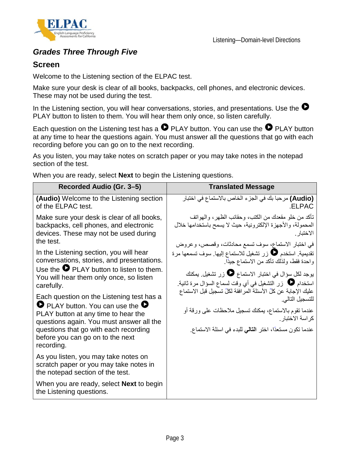



### *Grades Three Through Five*

#### **Screen**

Welcome to the Listening section of the ELPAC test.

Make sure your desk is clear of all books, backpacks, cell phones, and electronic devices. These may not be used during the test.

In the Listening section, you will hear conversations, stories, and presentations. Use the  $\bullet$ PLAY button to listen to them. You will hear them only once, so listen carefully.

Each question on the Listening test has a  $\bullet$  PLAY button. You can use the  $\bullet$  PLAY button at any time to hear the questions again. You must answer all the questions that go with each recording before you can go on to the next recording.

As you listen, you may take notes on scratch paper or you may take notes in the notepad section of the test.

When you are ready, select **Next** to begin the Listening questions.

| Recorded Audio (Gr. 3–5)                                                                                           | <b>Translated Message</b>                                       |
|--------------------------------------------------------------------------------------------------------------------|-----------------------------------------------------------------|
| <b>(Audio)</b> Welcome to the Listening section                                                                    | (Audio) مرحبا بك في الجزء الخاص بالاستماع في اختبار             |
| of the ELPAC test.                                                                                                 | ELPAC.                                                          |
| Make sure your desk is clear of all books,                                                                         | تأكد من خلو مقعدك من الكتب، و حقائب الظهر ، و الـهو اتف         |
| backpacks, cell phones, and electronic                                                                             | المحمولة، والأجهزة الإلكترونية، حيث لا يسمح باستخدامها خلال     |
| devices. These may not be used during                                                                              | الاختبار .                                                      |
| the test.                                                                                                          | في اختبار الاستماع، سوف تسمع محادثات، وقصص، وعروض               |
| In the Listening section, you will hear                                                                            | تقديمية ِ استخدم ۞ زر تشغيل للاستماع إليها ِ سوف تسمعها مرة     |
| conversations, stories, and presentations.                                                                         | واحدة فقط، ولذلك تأكد من الاستماع جيدًا.                        |
| Use the $\bullet$ PLAY button to listen to them.                                                                   | يوجد لكل سؤال في اختبار الاستماع ◘ زر تشغيل. يمكنك              |
| You will hear them only once, so listen                                                                            | استخدام ♦ زر التشغيل في أي وقت لسماع السؤال مرة ثانية.          |
| carefully.                                                                                                         | عليك الإجابة عن كلِّ الأسئلة المرافقة لكلِّ تسجيل قبل الاستماع  |
| Each question on the Listening test has a<br>$\bullet$ PLAY button. You can use the $\bullet$                      | للتسجيل التالي.                                                 |
| PLAY button at any time to hear the                                                                                | عندما تقوم بالاستماع، يمكنك تسجيل ملاحظات علىيورقة أو           |
| questions again. You must answer all the                                                                           | كر اسة الاختبار .                                               |
| questions that go with each recording<br>before you can go on to the next<br>recording.                            | عندما تكون مستعدًا، اختر ا <b>لتالي</b> للبدء في اسئلة الاستماع |
| As you listen, you may take notes on<br>scratch paper or you may take notes in<br>the notepad section of the test. |                                                                 |
| When you are ready, select <b>Next</b> to begin<br>the Listening questions.                                        |                                                                 |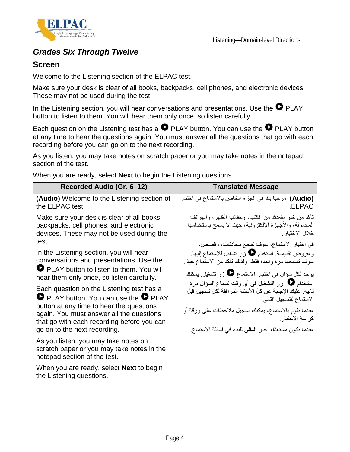

### *Grades Six Through Twelve*

#### **Screen**

Welcome to the Listening section of the ELPAC test.

Make sure your desk is clear of all books, backpacks, cell phones, and electronic devices. These may not be used during the test.

In the Listening section, you will hear conversations and presentations. Use the  $\bullet$  PLAY button to listen to them. You will hear them only once, so listen carefully.

Each question on the Listening test has a  $\bullet$  PLAY button. You can use the  $\bullet$  PLAY button at any time to hear the questions again. You must answer all the questions that go with each recording before you can go on to the next recording.

As you listen, you may take notes on scratch paper or you may take notes in the notepad section of the test.

When you are ready, select **Next** to begin the Listening questions.

| Recorded Audio (Gr. 6-12)                                                                                                                                                                                                 | <b>Translated Message</b>                                                                                                                                                                                                                                         |
|---------------------------------------------------------------------------------------------------------------------------------------------------------------------------------------------------------------------------|-------------------------------------------------------------------------------------------------------------------------------------------------------------------------------------------------------------------------------------------------------------------|
| <b>(Audio)</b> Welcome to the Listening section of<br>the ELPAC test.                                                                                                                                                     | (Audio) مرحبا بك في الجزء الخاص بالاستماع في اختبار<br>.ELPAC                                                                                                                                                                                                     |
| Make sure your desk is clear of all books,<br>backpacks, cell phones, and electronic<br>devices. These may not be used during the<br>test.                                                                                | تأكد من خلو مقعدك من الكتب، وحقائب الظهر ، والمهواتف<br>المحمولة، والأجهزة الإلكترونية، حيث لا يسمح باستخدامها<br>خلال الاختبار                                                                                                                                   |
| In the Listening section, you will hear<br>conversations and presentations. Use the<br>PLAY button to listen to them. You will<br>hear them only once, so listen carefully.<br>Each question on the Listening test has a  | في اختبار الاستماع، سوف تسمع محادثات، وقصص،<br>وعروض تقديمية استخدم ۞ زر تشغيل للاستماع إليها.<br>سوف تسمعها مرة واحدة فقط، ولذلك تأكد من الاستماع جيدًا.<br>يوجد لكل سؤال في اختبار الاستماع ♦ زر تشغيل بمكنك<br>استخدام ♦ زر التشغيل في أي وقت لسماع السؤال مرة |
| <b>O</b> PLAY button. You can use the <b>O</b> PLAY<br>button at any time to hear the questions<br>again. You must answer all the questions<br>that go with each recording before you can<br>go on to the next recording. | ثانية. عليك الإجابة عن كلِّ الأسئلة المر افقة لكلِّ تسجيل قبل<br>الاستماع للتسجيل التالي<br>عندما تقوم بالاستماع، بمكنك تسجيل ملاحظات على ورقة أو<br>كر اسة الاختبار .<br>عندما تكون مستعدًا، اختر ا <b>لتالي</b> للبدء في اسئلة الاستماع <sub>.</sub>            |
| As you listen, you may take notes on<br>scratch paper or you may take notes in the<br>notepad section of the test.                                                                                                        |                                                                                                                                                                                                                                                                   |
| When you are ready, select <b>Next</b> to begin<br>the Listening questions.                                                                                                                                               |                                                                                                                                                                                                                                                                   |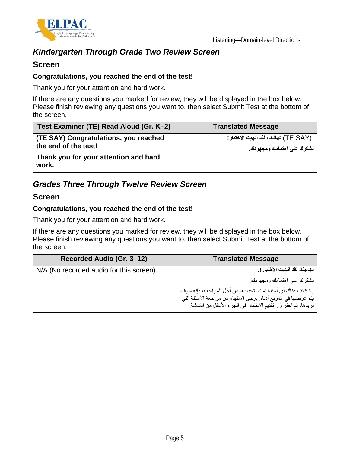

### *Kindergarten Through Grade Two Review Screen*

#### **Screen**

#### **Congratulations, you reached the end of the test!**

Thank you for your attention and hard work.

If there are any questions you marked for review, they will be displayed in the box below. Please finish reviewing any questions you want to, then select Submit Test at the bottom of the screen.

| Test Examiner (TE) Read Aloud (Gr. K-2)                       | <b>Translated Message</b>                                            |
|---------------------------------------------------------------|----------------------------------------------------------------------|
| (TE SAY) Congratulations, you reached<br>the end of the test! | (TE SAY) تهانينا، لقد أنهيت الاختبار !<br>نشكرك على اهتمامك ومجهودك. |
| Thank you for your attention and hard<br>work.                |                                                                      |

### *Grades Three Through Twelve Review Screen*

#### **Screen**

#### **Congratulations, you reached the end of the test!**

Thank you for your attention and hard work.

If there are any questions you marked for review, they will be displayed in the box below. Please finish reviewing any questions you want to, then select Submit Test at the bottom of the screen.

| Recorded Audio (Gr. 3-12)               | <b>Translated Message</b>                                                                                                       |
|-----------------------------------------|---------------------------------------------------------------------------------------------------------------------------------|
| N/A (No recorded audio for this screen) | تهانينا، لقد انهيت الاختبار !.                                                                                                  |
|                                         | نشكر ك على اهتمامك ومجهودك.                                                                                                     |
|                                         | إذا كانت هناك أي أسئلة قمت بتحديدها من أجل المر اجعة، فإنه سوف                                                                  |
|                                         | يتم عرضها في المربع أدناه. يرجى الانتهاء من مراجعة الأسئلة التي<br>تريدها، ثم اختر زر تقديم الاختبار في الجزء الأسفل من الشاشة. |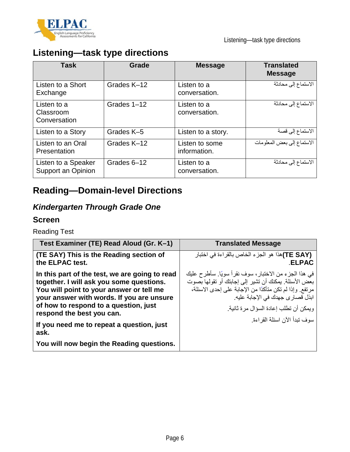

# **Listening—task type directions**

| <b>Task</b>                               | Grade       | <b>Message</b>                 | <b>Translated</b><br><b>Message</b> |
|-------------------------------------------|-------------|--------------------------------|-------------------------------------|
| Listen to a Short<br>Exchange             | Grades K-12 | Listen to a<br>conversation.   | الاستماع إلى محادثة                 |
| Listen to a<br>Classroom<br>Conversation  | Grades 1-12 | Listen to a<br>conversation.   | الاستماع إلى محادثة                 |
| Listen to a Story                         | Grades K-5  | Listen to a story.             | الاستماع إلى قصبة                   |
| Listen to an Oral<br>Presentation         | Grades K-12 | Listen to some<br>information. | الاستماع إلى بعض المعلومات          |
| Listen to a Speaker<br>Support an Opinion | Grades 6-12 | Listen to a<br>conversation.   | الاستماع إلى محادثة                 |

# **Reading—Domain-level Directions**

### *Kindergarten Through Grade One*

#### **Screen**

Reading Test

| Test Examiner (TE) Read Aloud (Gr. K-1)                                                                                                                                                                                                                   | <b>Translated Message</b>                                                                                                                                                                                                                                                               |
|-----------------------------------------------------------------------------------------------------------------------------------------------------------------------------------------------------------------------------------------------------------|-----------------------------------------------------------------------------------------------------------------------------------------------------------------------------------------------------------------------------------------------------------------------------------------|
| (TE SAY) This is the Reading section of<br>the ELPAC test.                                                                                                                                                                                                | (TE SAY)هذا هو الجزء الخاص بالقراءة في اختبار<br><b>.ELPAC</b>                                                                                                                                                                                                                          |
| In this part of the test, we are going to read<br>together. I will ask you some questions.<br>You will point to your answer or tell me<br>your answer with words. If you are unsure<br>of how to respond to a question, just<br>respond the best you can. | في هذا الجزء من الاختبار، سوف نقرأ سويًا. سأطرح عليك<br>بعض الأسئلة. يمكنك أن تشير إلى إجابتك أو تقولها بصوت<br>مرتفع. وإذا لم تكن متأكدًا من الإجابة على إحدى الاسئلة،<br>ابذل قصار ي جهدك في الإجابة عليه.<br>وبمكن أن تطلب إعادة السؤال مر ة ثانبة ِ<br>سوف تبدأ الآن اسئلة القر اءة |
| If you need me to repeat a question, just<br>ask.                                                                                                                                                                                                         |                                                                                                                                                                                                                                                                                         |
| You will now begin the Reading questions.                                                                                                                                                                                                                 |                                                                                                                                                                                                                                                                                         |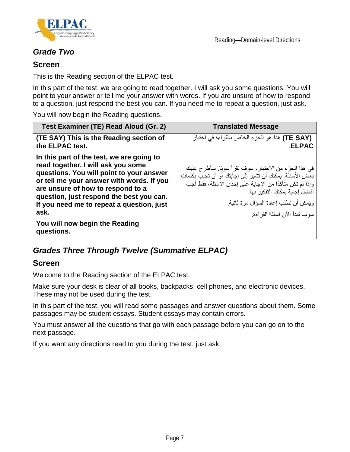

### *Grade Two*

#### **Screen**

This is the Reading section of the ELPAC test.

In this part of the test, we are going to read together. I will ask you some questions. You will point to your answer or tell me your answer with words. If you are unsure of how to respond to a question, just respond the best you can. If you need me to repeat a question, just ask.

You will now begin the Reading questions.

| Test Examiner (TE) Read Aloud (Gr. 2)                                                                                                                                                                                                                                                                                                                          | <b>Translated Message</b>                                                                                                                                                                                                                                                                |
|----------------------------------------------------------------------------------------------------------------------------------------------------------------------------------------------------------------------------------------------------------------------------------------------------------------------------------------------------------------|------------------------------------------------------------------------------------------------------------------------------------------------------------------------------------------------------------------------------------------------------------------------------------------|
| (TE SAY) This is the Reading section of<br>the ELPAC test.                                                                                                                                                                                                                                                                                                     | (TE SAY) هذا هو الجزء الخاص بالقراءة في اختبار<br><b>.ELPAC</b>                                                                                                                                                                                                                          |
| In this part of the test, we are going to<br>read together. I will ask you some<br>questions. You will point to your answer<br>or tell me your answer with words. If you<br>are unsure of how to respond to a<br>question, just respond the best you can.<br>If you need me to repeat a question, just<br>ask.<br>You will now begin the Reading<br>questions. | في هذا الجزء من الاختبار ، سوف نقرأ سويًا. سأطرح عليك<br>بعض الأسئلة. يمكنك أن تشير إلى إجابتك أو أن تجيب بكلمات.<br>وإذا لم تكن متأكدًا من الإجابة على إحدى الاسئلة، فقط أجب<br>أفضل إجابة بمكنك التفكير بها<br>و يمكن أن تطلب إعادة السؤال مر ة ثانية.<br>سوف نبدأ الآن اسئلة القر اءة |

### *Grades Three Through Twelve (Summative ELPAC)*

#### **Screen**

Welcome to the Reading section of the ELPAC test.

Make sure your desk is clear of all books, backpacks, cell phones, and electronic devices. These may not be used during the test.

In this part of the test, you will read some passages and answer questions about them. Some passages may be student essays. Student essays may contain errors.

You must answer all the questions that go with each passage before you can go on to the next passage.

If you want any directions read to you during the test, just ask.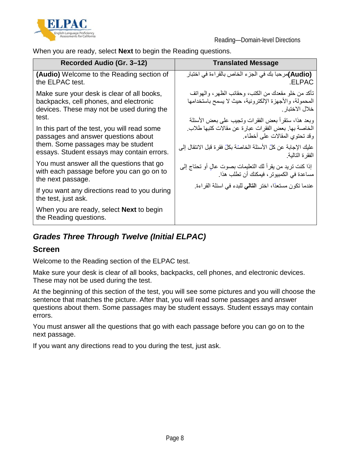

When you are ready, select **Next** to begin the Reading questions.

| Recorded Audio (Gr. 3-12)                                                                                                                                               | <b>Translated Message</b>                                                                                                                                                                                                            |
|-------------------------------------------------------------------------------------------------------------------------------------------------------------------------|--------------------------------------------------------------------------------------------------------------------------------------------------------------------------------------------------------------------------------------|
| <b>(Audio)</b> Welcome to the Reading section of<br>the ELPAC test.                                                                                                     | (Audio)مرحبا بك في الجزء الخاص بالقراءة في اختبار<br>.ELPAC                                                                                                                                                                          |
| Make sure your desk is clear of all books,<br>backpacks, cell phones, and electronic<br>devices. These may not be used during the<br>test.                              | تأكد من خلو مقعدك من الكتب، وحقائب الظهر ، والمهواتف<br>المحمولة، والأجهزة الإلكترونية، حيث لا يسمح باستخدامها<br>خلال الاختبار                                                                                                      |
| In this part of the test, you will read some<br>passages and answer questions about<br>them. Some passages may be student<br>essays. Student essays may contain errors. | وبعد هذا، ستقرأ بعض الفقرات وتجيب على بعض الأسئلة<br>الخاصة بها. بعض الفقر ات عبار ة عن مقالات كتبها طلاب.<br>وقد تحتوي المقالات على أخطاء.<br>عليك الإجابة عن كلِّ الأسئلة الخاصّة بكلِّ فقر ة قبل الانتقال إلى<br>الفقر ة التالبة. |
| You must answer all the questions that go<br>with each passage before you can go on to<br>the next passage.                                                             | إذا كنت تريد من يقرأ لك التعليمات بصوت عالٍ أو تحتاج إلى<br>مساعدة في الكمبيوتر ، فيمكنك أن تطلب هذا ِ                                                                                                                               |
| If you want any directions read to you during<br>the test, just ask.                                                                                                    | عندما نكون مستعدًا، اختر ا <b>لتالي</b> للبدء في اسئلة القراءة                                                                                                                                                                       |
| When you are ready, select <b>Next</b> to begin<br>the Reading questions.                                                                                               |                                                                                                                                                                                                                                      |

## *Grades Three Through Twelve (Initial ELPAC)*

#### **Screen**

Welcome to the Reading section of the ELPAC test.

Make sure your desk is clear of all books, backpacks, cell phones, and electronic devices. These may not be used during the test.

At the beginning of this section of the test, you will see some pictures and you will choose the sentence that matches the picture. After that, you will read some passages and answer questions about them. Some passages may be student essays. Student essays may contain errors.

You must answer all the questions that go with each passage before you can go on to the next passage.

If you want any directions read to you during the test, just ask.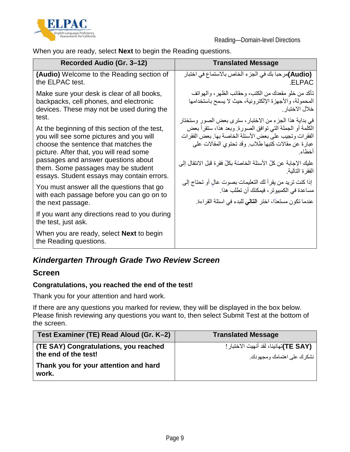

When you are ready, select **Next** to begin the Reading questions.

| Recorded Audio (Gr. 3–12)                                                                                                                                                                                                                                | <b>Translated Message</b>                                                                                                                                                                                                                                                                                      |
|----------------------------------------------------------------------------------------------------------------------------------------------------------------------------------------------------------------------------------------------------------|----------------------------------------------------------------------------------------------------------------------------------------------------------------------------------------------------------------------------------------------------------------------------------------------------------------|
| <b>(Audio)</b> Welcome to the Reading section of<br>the ELPAC test.                                                                                                                                                                                      | (Audio)مر حبا بك في الجز ء الخاص بالاستماع في اختبار<br>ELPAC.                                                                                                                                                                                                                                                 |
| Make sure your desk is clear of all books,<br>backpacks, cell phones, and electronic<br>devices. These may not be used during the<br>test.                                                                                                               | تأكد من خلو مقعدك من الكتب، وحقائب الظهر ، والهواتف<br>المحمولة، والأجهزة الإلكترونية، حيث لا يسمح باستخدامها<br>خلال الاختبار .                                                                                                                                                                               |
| At the beginning of this section of the test,<br>you will see some pictures and you will<br>choose the sentence that matches the<br>picture. After that, you will read some<br>passages and answer questions about<br>them. Some passages may be student | في بداية هذا الجزء من الاختبار ، سترى بعض الصور وستختار<br>الكلمة أو الجملة التي توافق الصورة. وبعد هذا، ستقرأ بعض<br>الفقرات وتجيب على بعض الأسئلة الخاصة بها. بعض الفقرات<br>عبارة عن مقالات كتبها طلاب. وقد تحتوي المقالات على<br>أخطاء<br>عليك الإجابة عن كلِّ الأسئلة الخاصّة بكلِّ فقرة قبل الانتقال إلى |
| essays. Student essays may contain errors.<br>You must answer all the questions that go                                                                                                                                                                  | الفقر ة التالية.<br>إذا كنت تريد من يقرأ لك التعليمات بصوت عالٍ أو تحتاج إلى<br>مساعدة في الكمبيوتر ، فيمكنك أن تطلب هذا.                                                                                                                                                                                      |
| with each passage before you can go on to<br>the next passage.                                                                                                                                                                                           | عندما تكون مستعدًا، اختر ا <b>لتالي</b> للبدء في اسئلة القراءة.                                                                                                                                                                                                                                                |
| If you want any directions read to you during<br>the test, just ask.                                                                                                                                                                                     |                                                                                                                                                                                                                                                                                                                |
| When you are ready, select <b>Next</b> to begin<br>the Reading questions.                                                                                                                                                                                |                                                                                                                                                                                                                                                                                                                |

### *Kindergarten Through Grade Two Review Screen*

#### **Screen**

#### **Congratulations, you reached the end of the test!**

Thank you for your attention and hard work.

If there are any questions you marked for review, they will be displayed in the box below. Please finish reviewing any questions you want to, then select Submit Test at the bottom of the screen.

| Test Examiner (TE) Read Aloud (Gr. K-2)                       | <b>Translated Message</b>                                            |
|---------------------------------------------------------------|----------------------------------------------------------------------|
| (TE SAY) Congratulations, you reached<br>the end of the test! | (TE SAY)تهانينا، لقد أنهيت الاختبار !<br>نشكر ك على اهتمامك ومجهودك. |
| Thank you for your attention and hard<br>work.                |                                                                      |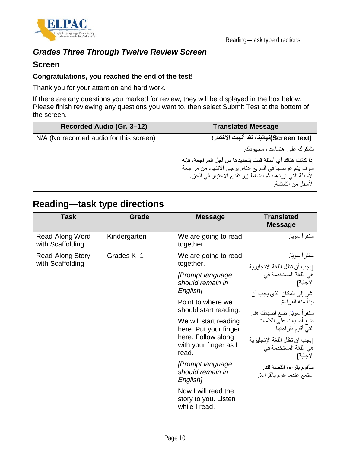

### *Grades Three Through Twelve Review Screen*

#### **Screen**

#### **Congratulations, you reached the end of the test!**

Thank you for your attention and hard work.

If there are any questions you marked for review, they will be displayed in the box below. Please finish reviewing any questions you want to, then select Submit Test at the bottom of the screen.

| Recorded Audio (Gr. 3-12)               | <b>Translated Message</b>                                                                                         |
|-----------------------------------------|-------------------------------------------------------------------------------------------------------------------|
| N/A (No recorded audio for this screen) | (Screen text)تهانينا، لقد أنهيت الاختبار!                                                                         |
|                                         | نشكر ك على اهتمامك و مجهو دك.                                                                                     |
|                                         | إذا كانت هناك أي أسئلة قمت بتحديدها من أجل المر اجعة، فإنه                                                        |
|                                         | سوف يتم عرضها في المربع أدناه. يرجى الانتهاء من مراجعة<br>الأسئلة التي تريدها، ثم اضغط زر تقديم الاختبار في الجزء |
|                                         | الأسفل من الشاشة.                                                                                                 |

## **Reading—task type directions**

| <b>Task</b>                                 | Grade        | <b>Message</b>                                                                                                                                                                                                                                                                                                                                                                 | <b>Translated</b><br><b>Message</b>                                                                                                                                                                                                                                                                                                                 |
|---------------------------------------------|--------------|--------------------------------------------------------------------------------------------------------------------------------------------------------------------------------------------------------------------------------------------------------------------------------------------------------------------------------------------------------------------------------|-----------------------------------------------------------------------------------------------------------------------------------------------------------------------------------------------------------------------------------------------------------------------------------------------------------------------------------------------------|
| Read-Along Word<br>with Scaffolding         | Kindergarten | We are going to read<br>together.                                                                                                                                                                                                                                                                                                                                              | سنقر أ سو يًا.                                                                                                                                                                                                                                                                                                                                      |
| <b>Read-Along Story</b><br>with Scaffolding | Grades K-1   | We are going to read<br>together.<br>[Prompt language]<br>should remain in<br>English <sub>1</sub><br>Point to where we<br>should start reading.<br>We will start reading<br>here. Put your finger<br>here. Follow along<br>with your finger as I<br>read.<br>[Prompt language<br>should remain in<br>English]<br>Now I will read the<br>story to you. Listen<br>while I read. | سنقر أ سو يًا.<br>[يجب أن تظل اللغة الإنجليزية<br>هي اللغة المستخدمة في<br>الإجابة]<br>أشر إلى المكان الذي يجب أن<br>نبدأ منه القر اءة.<br>سنقرأ سويًا. ضع اصبعك هنا.<br>ضع أصبعك على الكلمات<br>التي أقوم بقراءتها.<br>[يجب أن تظل اللغة الإنجليز ية<br>هي اللغة المستخدمة في<br>الإجابة]<br>سأقوم بقراءة القصىة لك.<br>استمع عندما أقوم بالقراءة. |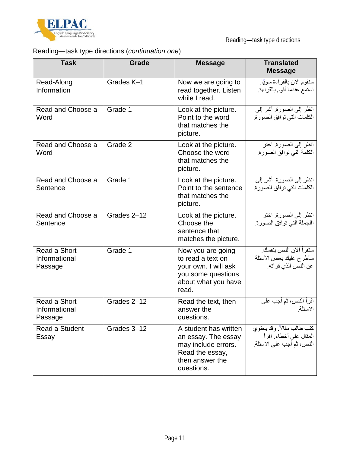

## Reading—task type directions (*continuation one*)

| <b>Task</b>                              | <b>Grade</b> | <b>Message</b>                                                                                                          | <b>Translated</b><br><b>Message</b>                                               |
|------------------------------------------|--------------|-------------------------------------------------------------------------------------------------------------------------|-----------------------------------------------------------------------------------|
| Read-Along<br>Information                | Grades K-1   | Now we are going to<br>read together. Listen<br>while I read.                                                           | سنقوم الآن بالقراءة سويًا.<br>استمع عندما أقوم بالقراءة.                          |
| Read and Choose a<br>Word                | Grade 1      | Look at the picture.<br>Point to the word<br>that matches the<br>picture.                                               | انظر إلى الصورة. أشر إلى<br>الكلمات التي توافق الصورة.                            |
| Read and Choose a<br>Word                | Grade 2      | Look at the picture.<br>Choose the word<br>that matches the<br>picture.                                                 | انظر إلى الصورة. اختر<br>الكلمة التي توافق الصورة.                                |
| Read and Choose a<br>Sentence            | Grade 1      | Look at the picture.<br>Point to the sentence<br>that matches the<br>picture.                                           | انظر إلى الصورة. أشر إلى<br>الكلمات التي توافق الصورة.                            |
| Read and Choose a<br>Sentence            | Grades 2-12  | Look at the picture.<br>Choose the<br>sentence that<br>matches the picture.                                             | انظر إلى الصورة. اختر<br>االجملة التي توافق الصورة.                               |
| Read a Short<br>Informational<br>Passage | Grade 1      | Now you are going<br>to read a text on<br>your own. I will ask<br>you some questions<br>about what you have<br>read.    | ستقر أ الآن النص بنفسك.<br>سأطرح عليك بعض الأسئلة<br>عن النص الذي قر أته.         |
| Read a Short<br>Informational<br>Passage | Grades 2-12  | Read the text, then<br>answer the<br>questions.                                                                         | اقرأ النص، ثم أجب على<br>الاسئلة                                                  |
| Read a Student<br>Essay                  | Grades 3-12  | A student has written<br>an essay. The essay<br>may include errors.<br>Read the essay,<br>then answer the<br>questions. | كتب طالب مقالاً. وقد يحتوي<br>المقال على أخطاء. اقرأ<br>النص، ثم أجب على الاسئلة. |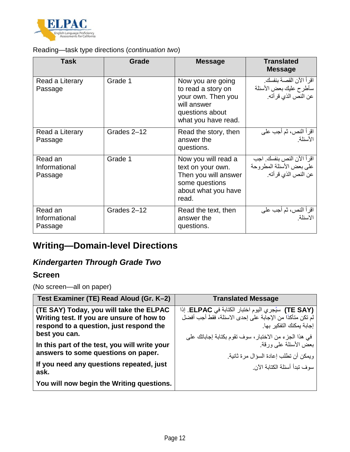

#### Reading—task type directions (*continuation two*)

| <b>Task</b>                         | Grade       | <b>Message</b>                                                                                                         | <b>Translated</b><br><b>Message</b>                                            |
|-------------------------------------|-------------|------------------------------------------------------------------------------------------------------------------------|--------------------------------------------------------------------------------|
| Read a Literary<br>Passage          | Grade 1     | Now you are going<br>to read a story on<br>your own. Then you<br>will answer<br>questions about<br>what you have read. | اقر أ الآن القصــة بنفسك.<br>سأطرح عليك بعض الأسئلة<br>عن النص الذي قر أته.    |
| Read a Literary<br>Passage          | Grades 2-12 | Read the story, then<br>answer the<br>questions.                                                                       | اقرأ النص، ثم أجب على<br>الأسئلة <sub>.</sub>                                  |
| Read an<br>Informational<br>Passage | Grade 1     | Now you will read a<br>text on your own.<br>Then you will answer<br>some questions<br>about what you have<br>read.     | اقر أ الآن النص بنفسك. اجب<br>على بعض الأسئلة المطروحة<br>عن النص الذي قر أته. |
| Read an<br>Informational<br>Passage | Grades 2-12 | Read the text, then<br>answer the<br>questions.                                                                        | اقرأ النص، ثم أجب على<br>الاسئلة                                               |

# **Writing—Domain-level Directions**

## *Kindergarten Through Grade Two*

#### **Screen**

(No screen—all on paper)

| Test Examiner (TE) Read Aloud (Gr. K-2)                                                                                         | <b>Translated Message</b>                                                                                                                    |
|---------------------------------------------------------------------------------------------------------------------------------|----------------------------------------------------------------------------------------------------------------------------------------------|
| (TE SAY) Today, you will take the ELPAC<br>Writing test. If you are unsure of how to<br>respond to a question, just respond the | (TE SAY) سيُجري اليوم اختبار الكتابة في ELPAC. إذا<br>لَم تكن متأكدًا من الإجابة على إحدى الاسئلة، فقط أجب أفضل<br>إجابة بمكنك التفكبر  بها. |
| best you can.<br>In this part of the test, you will write your<br>answers to some questions on paper.                           | في هذا الجزء من الاختبار، سوف تقوم بكتابة إجاباتك على<br>بعض الأسئلة على ورقة.<br>و يمكن أن تطلب إعادة السؤال مر ة ثانية.                    |
| If you need any questions repeated, just<br>ask.                                                                                | سوف تبدأ أسئلة الكتابة الآن                                                                                                                  |
| You will now begin the Writing questions.                                                                                       |                                                                                                                                              |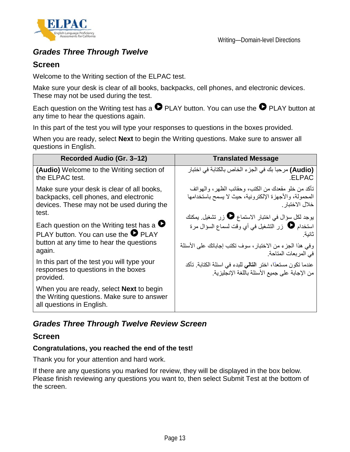



### *Grades Three Through Twelve*

#### **Screen**

Welcome to the Writing section of the ELPAC test.

Make sure your desk is clear of all books, backpacks, cell phones, and electronic devices. These may not be used during the test.

Each question on the Writing test has a  $\bullet$  PLAY button. You can use the  $\bullet$  PLAY button at any time to hear the questions again.

In this part of the test you will type your responses to questions in the boxes provided.

When you are ready, select **Next** to begin the Writing questions. Make sure to answer all questions in English.

| Recorded Audio (Gr. 3-12)                                                                                                                             | <b>Translated Message</b>                                                                                                          |
|-------------------------------------------------------------------------------------------------------------------------------------------------------|------------------------------------------------------------------------------------------------------------------------------------|
| (Audio) Welcome to the Writing section of<br>the ELPAC test.                                                                                          | (Audio) مرحبا بك في الجزء الخاص بالكتابة في اختبار<br>.ELPAC                                                                       |
| Make sure your desk is clear of all books,<br>backpacks, cell phones, and electronic<br>devices. These may not be used during the                     | تأكد من خلو مقعدك من الكتب، وحقائب الظهر ، والمهواتف<br>المحمولة، والأجهزة الإلكترونية، حيث لا يسمح باستخدامها<br>خلال الاختبار    |
| test.<br>Each question on the Writing test has a $\bullet$<br>PLAY button. You can use the $\bullet$ PLAY<br>button at any time to hear the questions | يوجد لكل سؤال في اختبار الاستماع ♦ زر تشغيل. يمكنك<br>استخدام @ زر التشغيل في أي وقت لسماع السؤال مرة<br>ثانبة                     |
| again.                                                                                                                                                | وفي هذا الجزء من الاختبار، سوف تكتب إجاباتك على الأسئلة<br>في المربعات المتاحة.                                                    |
| In this part of the test you will type your<br>responses to questions in the boxes<br>provided.                                                       | عندما تكون مستعدًا، اختر ا <b>لتالي</b> للبدء في اسئلة الكتابة <sub>.</sub> تأكد<br>من الإجابة على جميع الأسئلة باللغة الإنجليزية. |
| When you are ready, select <b>Next</b> to begin<br>the Writing questions. Make sure to answer<br>all questions in English.                            |                                                                                                                                    |

### *Grades Three Through Twelve Review Screen*

#### **Screen**

#### **Congratulations, you reached the end of the test!**

Thank you for your attention and hard work.

If there are any questions you marked for review, they will be displayed in the box below. Please finish reviewing any questions you want to, then select Submit Test at the bottom of the screen.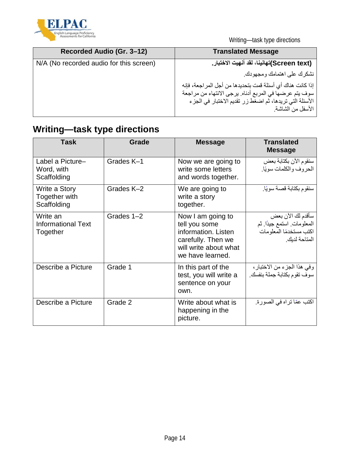

Writing—task type directions

| Recorded Audio (Gr. 3-12)               | <b>Translated Message</b>                                  |
|-----------------------------------------|------------------------------------------------------------|
| N/A (No recorded audio for this screen) | (Screen text)تهانينا، لقد أنهيت الاختبار.                  |
|                                         | نشكرك على اهتمامك ومجهودك.                                 |
|                                         | إذا كانت هناك أي أسئلة قمت بتحديدها من أجل المر اجعة، فإنه |
|                                         | سوف يتم عرضها في المربع أدناه. يرجى الانتهاء من مراجعة     |
|                                         | الأسئلة الَّتي تريدها، ثم اضغط زر تقديم الاختبار في الجزء  |
|                                         | الأسفل من الشاشة.                                          |

# **Writing—task type directions**

| Task                                              | Grade      | <b>Message</b>                                                                                                               | Translated<br><b>Message</b>                                                              |
|---------------------------------------------------|------------|------------------------------------------------------------------------------------------------------------------------------|-------------------------------------------------------------------------------------------|
| Label a Picture-<br>Word, with<br>Scaffolding     | Grades K-1 | Now we are going to<br>write some letters<br>and words together.                                                             | سنقوم الأن بكتابة بعض<br>الحروف والكلمات سويًا.                                           |
| Write a Story<br>Together with<br>Scaffolding     | Grades K-2 | We are going to<br>write a story<br>together.                                                                                | سنقوم بكتابة قصة سويًا.                                                                   |
| Write an<br><b>Informational Text</b><br>Together | Grades 1-2 | Now I am going to<br>tell you some<br>information. Listen<br>carefully. Then we<br>will write about what<br>we have learned. | سأقدم لك الأن بعض<br>المعلومات استمع جيدًا فم<br>اكتب مستخدمًا المعلو مات<br>المتاحة لدبك |
| Describe a Picture                                | Grade 1    | In this part of the<br>test, you will write a<br>sentence on your<br>own.                                                    | وفي هذا الجزء من الاختبار ،<br>سوف تقوم بكتابة جملة بنفسك.                                |
| Describe a Picture                                | Grade 2    | Write about what is<br>happening in the<br>picture.                                                                          | اكتب عمّا تراه في الصورة.                                                                 |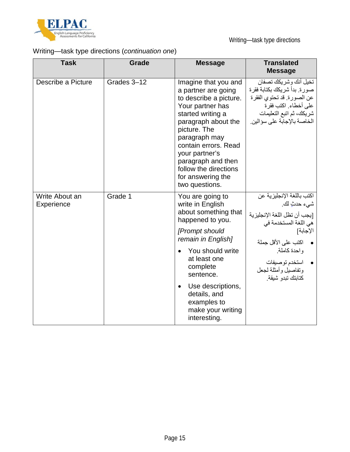

## Writing—task type directions (*continuation one*)

| <b>Task</b>                  | Grade       | <b>Message</b>                                                                                                                                                                                                                                                                                           | <b>Translated</b><br><b>Message</b>                                                                                                                                                                                          |
|------------------------------|-------------|----------------------------------------------------------------------------------------------------------------------------------------------------------------------------------------------------------------------------------------------------------------------------------------------------------|------------------------------------------------------------------------------------------------------------------------------------------------------------------------------------------------------------------------------|
| Describe a Picture           | Grades 3-12 | Imagine that you and<br>a partner are going<br>to describe a picture.<br>Your partner has<br>started writing a<br>paragraph about the<br>picture. The<br>paragraph may<br>contain errors. Read<br>your partner's<br>paragraph and then<br>follow the directions<br>for answering the<br>two questions.   | تخيل أنك وشر يكك تصفان<br>صورة. بدأ شريكك بكتابة فقرة<br>عن الصورة. قد تحتوي الفقرة<br>على أخطاء. اكتب فقر ة<br>شريكك، ثم اتبع التعليمات<br>الخاصة بالإجابة على سؤالين.                                                      |
| Write About an<br>Experience | Grade 1     | You are going to<br>write in English<br>about something that<br>happened to you.<br>[Prompt should<br>remain in English]<br>You should write<br>$\bullet$<br>at least one<br>complete<br>sentence.<br>Use descriptions,<br>$\bullet$<br>details, and<br>examples to<br>make your writing<br>interesting. | اكتب باللغة الإنجليز ية عن<br>شيء حدثٍ لك.<br>[يجب أن تظل اللغة الإنجليزية<br>هي اللغة المستخدمة في<br>الإجابة]<br>●     اكتب على الأقل جملة<br>واحدة كاملة.<br>• استخدم توصيفات<br>وتفاصيل وأمثلة لجعل<br>كتابتك تبدو شيقة. |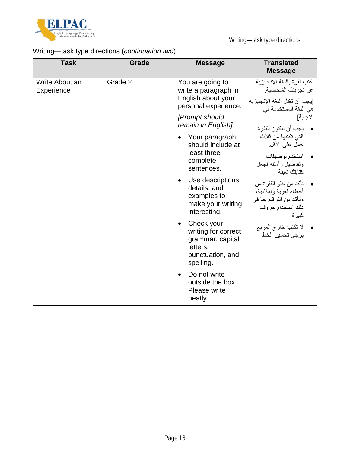

## Writing—task type directions (*continuation two*)

| <b>Task</b>                  | <b>Grade</b> | <b>Message</b>                                                                                                  | <b>Translated</b><br><b>Message</b>                                                                           |
|------------------------------|--------------|-----------------------------------------------------------------------------------------------------------------|---------------------------------------------------------------------------------------------------------------|
| Write About an<br>Experience | Grade 2      | You are going to<br>write a paragraph in<br>English about your<br>personal experience.                          | اكتب فقر ة باللغة الإنجليز ية<br>عن تجر بتك الشخصية.<br>[يجب أن تظل اللغة الإنجليزية<br>هي اللغة المستخدمة في |
|                              |              | [Prompt should<br>remain in English]                                                                            | الإجابة]<br>•     يجب أن تتكون الفقر ة                                                                        |
|                              |              | Your paragraph<br>$\bullet$<br>should include at                                                                | التي تكتبها من ثلاث<br>جمل على الأقل.                                                                         |
|                              |              | least three<br>complete<br>sentences.                                                                           | استخدم توصبفات<br>وتفاصلل وأمثلة لجعل<br>كتابتك شيقة                                                          |
|                              |              | Use descriptions,<br>$\bullet$<br>details, and<br>examples to<br>make your writing<br>interesting.              | تأكد من خلو الفقرة من<br>أخطاء لغوية وإملائية،<br>وتأكد من الترقيم بما في<br>ذلك استخدام حروف<br>كبير ة.      |
|                              |              | Check your<br>$\bullet$<br>writing for correct<br>grammar, capital<br>letters,<br>punctuation, and<br>spelling. | لا تكتب خارج المربع.<br>ير جي تحسين الخط.                                                                     |
|                              |              | Do not write<br>$\bullet$<br>outside the box.<br>Please write<br>neatly.                                        |                                                                                                               |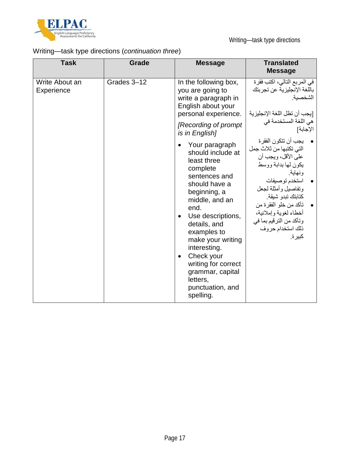

## Writing—task type directions (*continuation three*)

| Grades 3-12<br>Write About an<br>In the following box,<br>Experience<br>you are going to<br>write a paragraph in<br>English about your<br>personal experience.<br>[Recording of prompt<br>is in English]                                                                                                                                                                                                                                                                                                                                                                                           | <b>Task</b> | Grade | <b>Message</b> | <b>Translated</b><br><b>Message</b>                                                                                                                                      |
|----------------------------------------------------------------------------------------------------------------------------------------------------------------------------------------------------------------------------------------------------------------------------------------------------------------------------------------------------------------------------------------------------------------------------------------------------------------------------------------------------------------------------------------------------------------------------------------------------|-------------|-------|----------------|--------------------------------------------------------------------------------------------------------------------------------------------------------------------------|
| التي تكتبها من ثلاث جمل<br>should include at<br>على الأقل، ويجب أن<br>least three<br>يكون لمها بدابة ووسط<br>complete<br>ونهاية.<br>sentences and<br>استخدم توصيفات<br>should have a<br>وتفاصيل وأمثلة لجعل<br>beginning, a<br>كتابتك تبدو شيقة.<br>middle, and an<br>تأكد من خلو الفقرة من<br>end.<br>أخطاء لغوية وإملائية،<br>Use descriptions,<br>$\bullet$<br>وتأكد من الترقيم بما في<br>details, and<br>ذلك استخدام حروف<br>examples to<br>كبير ة.<br>make your writing<br>interesting.<br>Check your<br>writing for correct<br>grammar, capital<br>letters,<br>punctuation, and<br>spelling. |             |       | Your paragraph | في المربع التالي، اكتب فقرة<br>باللغة الإنجليزية عن تجربتك<br>الشخصبة<br>[يجب أن تظل اللغة الإنجليزية<br>هي اللغة المستخدمة في<br>الإجابة]<br>•     يجب أن تتكون الفقر ة |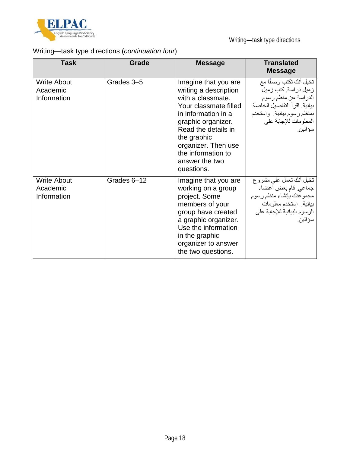

## Writing—task type directions (*continuation four*)

| <b>Task</b>                                   | <b>Grade</b> | <b>Message</b>                                                                                                                                                                                                                                              | <b>Translated</b><br><b>Message</b>                                                                                                                                           |
|-----------------------------------------------|--------------|-------------------------------------------------------------------------------------------------------------------------------------------------------------------------------------------------------------------------------------------------------------|-------------------------------------------------------------------------------------------------------------------------------------------------------------------------------|
| <b>Write About</b><br>Academic<br>Information | Grades 3-5   | Imagine that you are<br>writing a description<br>with a classmate.<br>Your classmate filled<br>in information in a<br>graphic organizer.<br>Read the details in<br>the graphic<br>organizer. Then use<br>the information to<br>answer the two<br>questions. | تخيل أنك تكتب وصفًا مع<br>ز میل در اسة. کتب ز میل<br>الدراسة عن منظم رسوم<br>بيانية. اقر أ التفاصيل الخاصة<br>بمنظم رسوم بيانية. واستخدم<br>المعلومات للإجابة على<br>سو الين. |
| <b>Write About</b><br>Academic<br>Information | Grades 6-12  | Imagine that you are<br>working on a group<br>project. Some<br>members of your<br>group have created<br>a graphic organizer.<br>Use the information<br>in the graphic<br>organizer to answer<br>the two questions.                                          | تخيل أنك نعمل علىي مشروع<br>جماعي. قام بعض أعضاء<br>مجموعتك بإنشاء منظم رسوم<br>بيانية استخدم معلومات<br>الرسوم البيانية للإجابة على<br>سؤ الين.                              |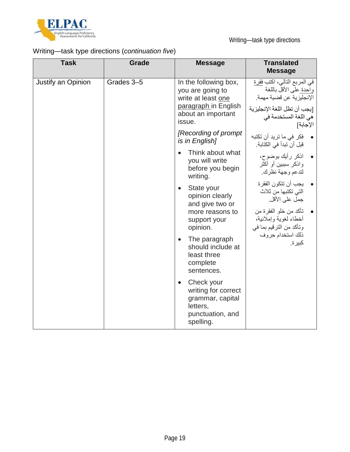

## Writing—task type directions (*continuation five*)

| <b>Task</b>        | <b>Grade</b> | <b>Message</b>                                                                                                          | <b>Translated</b><br><b>Message</b>                                                                                                                     |
|--------------------|--------------|-------------------------------------------------------------------------------------------------------------------------|---------------------------------------------------------------------------------------------------------------------------------------------------------|
| Justify an Opinion | Grades 3-5   | In the following box,<br>you are going to<br>write at least one<br>paragraph in English<br>about an important<br>issue. | في المربع التالي، اكتب فقرة<br>واحدة على الأقل باللغة<br>الإنجليزية عن قضية مهمة.<br>[يجب أن تظل اللغة الإنجليز ية<br>هي اللغة المستخدمة في<br>الإجابة] |
|                    |              | [Recording of prompt]<br>is in English]                                                                                 | •    فكر في ما تريد أن تكتبه<br>قبل أن تبدأ في الكتابة.                                                                                                 |
|                    |              | Think about what<br>you will write<br>before you begin<br>writing.                                                      | • اذكر رأيك بوضوح،<br>واذكر سببين أو أكثر<br>لتدعم وجهة نظرك                                                                                            |
|                    |              | State your<br>$\bullet$<br>opinion clearly<br>and give two or<br>more reasons to<br>support your                        | يجب أن تتكون الفقر ة<br>التي تكتبها من ثلاث<br>جمل على الأقل.<br>تأكد من خلو الفقرة من<br>أخطاء لغوية وإملائية،                                         |
|                    |              | opinion.<br>The paragraph<br>$\bullet$<br>should include at<br>least three<br>complete<br>sentences.                    | وتأكد من الترقيم بما في<br>ذلك استخدام حروف<br>كبير ة.                                                                                                  |
|                    |              | Check your<br>$\bullet$<br>writing for correct<br>grammar, capital<br>letters,<br>punctuation, and<br>spelling.         |                                                                                                                                                         |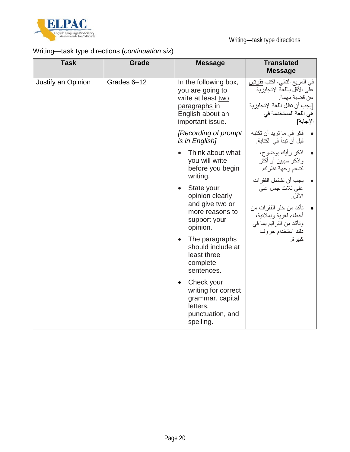

## Writing—task type directions (*continuation six*)

| <b>Task</b>        | <b>Grade</b> | <b>Message</b>                                                                                                           | <b>Translated</b><br><b>Message</b>                                                                                                                 |
|--------------------|--------------|--------------------------------------------------------------------------------------------------------------------------|-----------------------------------------------------------------------------------------------------------------------------------------------------|
| Justify an Opinion | Grades 6-12  | In the following box,<br>you are going to<br>write at least two<br>paragraphs in<br>English about an<br>important issue. | في المربع التالي، اكتب فقرتين<br>على الأقل باللغة الإنجليز ية<br>عن قضية مهمة.<br>[يجب أن تظل اللغة الإنجليزية<br>هي اللغة المستخدمة في<br>الإجابة] |
|                    |              | [Recording of prompt]<br>is in English]                                                                                  | فكر في ما تريد أن تكتبه<br>قبل أن تبدأ في الكتابة.                                                                                                  |
|                    |              | Think about what<br>you will write<br>before you begin<br>writing.                                                       | • اذكر رأيك بوضوح،<br>واذكر سببين أو أكثر<br>لتدعم وجهة نظرك<br>يجب أن تشتمل الفقر ات                                                               |
|                    |              | State your<br>$\bullet$<br>opinion clearly<br>and give two or<br>more reasons to<br>support your<br>opinion.             | على ثلاث جمل على<br>الأقل<br>تأكد من خلو الفقرات من<br>أخطاء لغوية وإملائية،<br>وتأكد من الترقيم بما في<br>ذلك استخدام حروف                         |
|                    |              | The paragraphs<br>$\bullet$<br>should include at<br>least three<br>complete<br>sentences.                                | كبير ة.                                                                                                                                             |
|                    |              | Check your<br>$\bullet$<br>writing for correct<br>grammar, capital<br>letters,<br>punctuation, and<br>spelling.          |                                                                                                                                                     |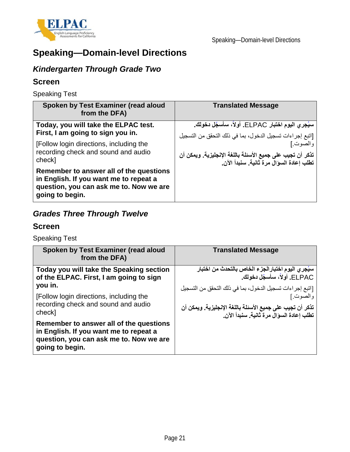

# **Speaking—Domain-level Directions**

## *Kindergarten Through Grade Two*

#### **Screen**

Speaking Test

| Spoken by Test Examiner (read aloud<br>from the DFA)                                                                                            | <b>Translated Message</b>                                 |
|-------------------------------------------------------------------------------------------------------------------------------------------------|-----------------------------------------------------------|
| Today, you will take the ELPAC test.                                                                                                            | سيُجري اليوم اختبار ELPAC. أولاً، سأسجّل دخولك.           |
| First, I am going to sign you in.                                                                                                               | [اتبع إجراءات تسجيل الدخول، بما في ذلك التحقق من التسجيل  |
| [Follow login directions, including the                                                                                                         | والصوت]                                                   |
| recording check and sound and audio                                                                                                             | تذكر أن تجيب على جميع الأسئلة باللغة الإنجليزية. ويمكن أن |
| check]                                                                                                                                          | تطلب إعادة السوال مرة ثانية. سنبدأ الآن.                  |
| Remember to answer all of the questions<br>in English. If you want me to repeat a<br>question, you can ask me to. Now we are<br>going to begin. |                                                           |

## *Grades Three Through Twelve*

#### **Screen**

Speaking Test

| Spoken by Test Examiner (read aloud<br>from the DFA)                                                                                            | <b>Translated Message</b>                                                                                                                                                     |
|-------------------------------------------------------------------------------------------------------------------------------------------------|-------------------------------------------------------------------------------------------------------------------------------------------------------------------------------|
| Today you will take the Speaking section<br>of the ELPAC. First, I am going to sign<br>you in.                                                  | سيُجِر ي اليوم اختبار الجزء الخاص بالتحدث من اختبار<br>ELPAC. أَو <sup>ْ </sup> لاً، سأسجّل دخو لك.                                                                           |
| [Follow login directions, including the<br>recording check and sound and audio<br>check]                                                        | [اتبع إجراءات تسجيل الدخول، بما في ذلك التحقق من التسجيل<br>والصوت.]<br>تذكر أن تجيب على جميع الأسئلة باللغة الإنجليزية. ويمكن أن<br>تطلب إعادة السوال مرة ثانية. سنبدأ الآن. |
| Remember to answer all of the questions<br>in English. If you want me to repeat a<br>question, you can ask me to. Now we are<br>going to begin. |                                                                                                                                                                               |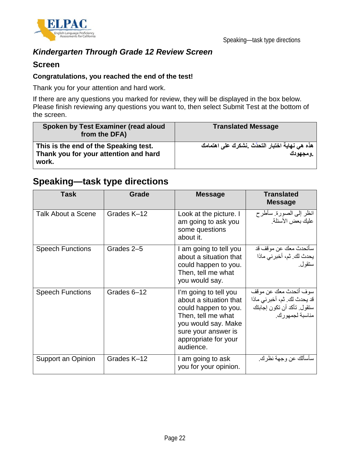

### *Kindergarten Through Grade 12 Review Screen*

#### **Screen**

#### **Congratulations, you reached the end of the test!**

Thank you for your attention and hard work.

If there are any questions you marked for review, they will be displayed in the box below. Please finish reviewing any questions you want to, then select Submit Test at the bottom of the screen.

| Spoken by Test Examiner (read aloud<br>from the DFA)                                    | <b>Translated Message</b>                                    |
|-----------------------------------------------------------------------------------------|--------------------------------------------------------------|
| This is the end of the Speaking test.<br>Thank you for your attention and hard<br>work. | هذه هي نـهايـة اختبار التحدّث _نشكرك على اهتمامك<br>.ومجهودك |

## **Speaking—task type directions**

| Task                    | Grade       | <b>Message</b>                                                                                                                                                                   | <b>Translated</b><br><b>Message</b>                                                                    |
|-------------------------|-------------|----------------------------------------------------------------------------------------------------------------------------------------------------------------------------------|--------------------------------------------------------------------------------------------------------|
| Talk About a Scene      | Grades K-12 | Look at the picture. I<br>am going to ask you<br>some questions<br>about it.                                                                                                     | انظر إلىي الصورة. سأطرح<br>عليك بعض الأسئلة.                                                           |
| <b>Speech Functions</b> | Grades 2-5  | I am going to tell you<br>about a situation that<br>could happen to you.<br>Then, tell me what<br>you would say.                                                                 | سأتحدث معك عن موقف قد<br>يحدث لك. ثم، أخبر ني ماذا<br>سنقو ل.                                          |
| <b>Speech Functions</b> | Grades 6-12 | I'm going to tell you<br>about a situation that<br>could happen to you.<br>Then, tell me what<br>you would say. Make<br>sure your answer is<br>appropriate for your<br>audience. | سوف أتحدث معك عن موقف<br>قد يحدث لك. ثم، أخبر ني ماذا<br>ستقول تأكد أن تكون إجابتك<br>مناسبة لجمهور ك. |
| Support an Opinion      | Grades K-12 | I am going to ask<br>you for your opinion.                                                                                                                                       | سأسألك عن وجهة نظرك.                                                                                   |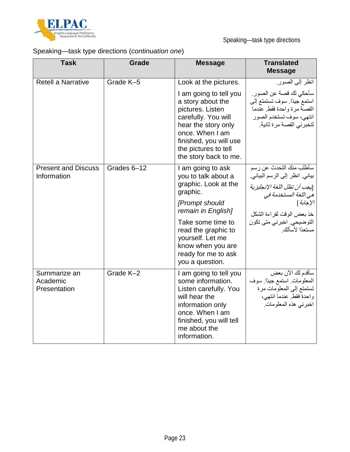

## Speaking—task type directions (*continuation one*)

| <b>Task</b>                               | <b>Grade</b> | <b>Message</b>                                                                                                                                                                                              | <b>Translated</b><br><b>Message</b>                                                                                                        |
|-------------------------------------------|--------------|-------------------------------------------------------------------------------------------------------------------------------------------------------------------------------------------------------------|--------------------------------------------------------------------------------------------------------------------------------------------|
| <b>Retell a Narrative</b>                 | Grade K-5    | Look at the pictures.                                                                                                                                                                                       | انظر إلى الصور.                                                                                                                            |
|                                           |              | I am going to tell you<br>a story about the<br>pictures. Listen<br>carefully. You will<br>hear the story only<br>once. When I am<br>finished, you will use<br>the pictures to tell<br>the story back to me. | سأحكى لك قصة عن الصور .<br>استمع جيدًا. سوف تستمتع إلى<br>القصة مرة واحدة فقط عندما<br>انتهى، سوف تستخدم الصور<br>لتخبرني القصة مرة ثانية. |
| <b>Present and Discuss</b><br>Information | Grades 6-12  | I am going to ask<br>you to talk about a<br>graphic. Look at the<br>graphic.                                                                                                                                | سأطلب منك التحدث عن رسم<br>بياني. انظر إلى الرسم البياني.<br>[يجب أن تظل اللغة الإنجليزية                                                  |
|                                           |              | [Prompt should<br>remain in English]                                                                                                                                                                        | هي اللغة المستخدمة في<br>الإجابة]<br>خذ بعض الوقت لقراءة الشكل                                                                             |
|                                           |              | Take some time to<br>read the graphic to<br>yourself. Let me<br>know when you are<br>ready for me to ask<br>you a question.                                                                                 | التوضيحي. اخبرني متي تكون<br>مستعدًا لأسألك                                                                                                |
| Summarize an<br>Academic<br>Presentation  | Grade K-2    | I am going to tell you<br>some information.<br>Listen carefully. You<br>will hear the<br>information only<br>once. When I am<br>finished, you will tell<br>me about the<br>information.                     | سأقدم لك الأن بعض<br>المعلومات استمع جيدًا. سوف<br>تستمتع إلى المعلومات مرة<br>واحدة فقط عندما انتهى،<br>اخبرني هذه المعلومات.             |